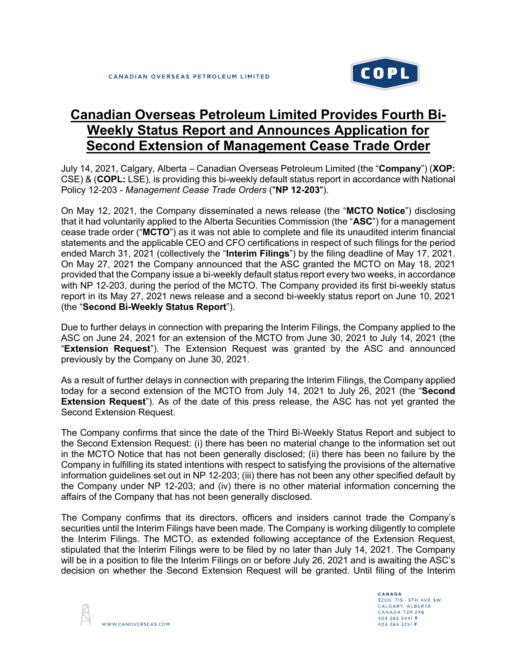

## **Canadian Overseas Petroleum Limited Provides Fourth Bi-Weekly Status Report and Announces Application for Second Extension of Management Cease Trade Order**

July 14, 2021, Calgary, Alberta – Canadian Overseas Petroleum Limited (the "**Company**") (**XOP:** CSE) & (**COPL:** LSE), is providing this bi-weekly default status report in accordance with National Policy 12-203 - *Management Cease Trade Orders* ("**NP 12-203**").

On May 12, 2021, the Company disseminated a news release (the "**MCTO Notice**") disclosing that it had voluntarily applied to the Alberta Securities Commission (the "**ASC**") for a management cease trade order ("**MCTO**") as it was not able to complete and file its unaudited interim financial statements and the applicable CEO and CFO certifications in respect of such filings for the period ended March 31, 2021 (collectively the "**Interim Filings**") by the filing deadline of May 17, 2021. On May 27, 2021 the Company announced that the ASC granted the MCTO on May 18, 2021 provided that the Company issue a bi-weekly default status report every two weeks, in accordance with NP 12-203, during the period of the MCTO. The Company provided its first bi-weekly status report in its May 27, 2021 news release and a second bi-weekly status report on June 10, 2021 (the "**Second Bi-Weekly Status Report**").

Due to further delays in connection with preparing the Interim Filings, the Company applied to the ASC on June 24, 2021 for an extension of the MCTO from June 30, 2021 to July 14, 2021 (the "**Extension Request**"). The Extension Request was granted by the ASC and announced previously by the Company on June 30, 2021.

As a result of further delays in connection with preparing the Interim Filings, the Company applied today for a second extension of the MCTO from July 14, 2021 to July 26, 2021 (the "**Second Extension Request**"). As of the date of this press release, the ASC has not yet granted the Second Extension Request.

The Company confirms that since the date of the Third Bi-Weekly Status Report and subject to the Second Extension Request: (i) there has been no material change to the information set out in the MCTO Notice that has not been generally disclosed; (ii) there has been no failure by the Company in fulfilling its stated intentions with respect to satisfying the provisions of the alternative information guidelines set out in NP 12-203; (iii) there has not been any other specified default by the Company under NP 12-203; and (iv) there is no other material information concerning the affairs of the Company that has not been generally disclosed.

The Company confirms that its directors, officers and insiders cannot trade the Company's securities until the Interim Filings have been made. The Company is working diligently to complete the Interim Filings. The MCTO, as extended following acceptance of the Extension Request, stipulated that the Interim Filings were to be filed by no later than July 14, 2021. The Company will be in a position to file the Interim Filings on or before July 26, 2021 and is awaiting the ASC's decision on whether the Second Extension Request will be granted. Until filing of the Interim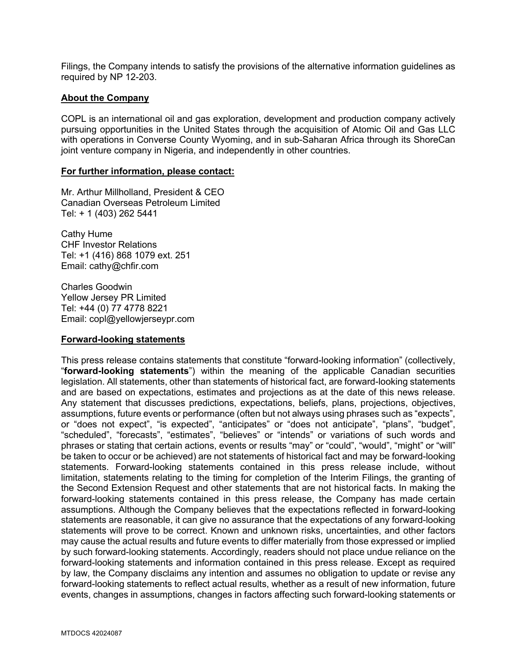Filings, the Company intends to satisfy the provisions of the alternative information guidelines as required by NP 12-203.

## **About the Company**

COPL is an international oil and gas exploration, development and production company actively pursuing opportunities in the United States through the acquisition of Atomic Oil and Gas LLC with operations in Converse County Wyoming, and in sub-Saharan Africa through its ShoreCan joint venture company in Nigeria, and independently in other countries.

## **For further information, please contact:**

Mr. Arthur Millholland, President & CEO Canadian Overseas Petroleum Limited Tel: + 1 (403) 262 5441

Cathy Hume CHF Investor Relations Tel: +1 (416) 868 1079 ext. 251 Email: cathy@chfir.com

Charles Goodwin Yellow Jersey PR Limited Tel: +44 (0) 77 4778 8221 Email: copl@yellowjerseypr.com

## **Forward-looking statements**

This press release contains statements that constitute "forward-looking information" (collectively, "**forward-looking statements**") within the meaning of the applicable Canadian securities legislation. All statements, other than statements of historical fact, are forward-looking statements and are based on expectations, estimates and projections as at the date of this news release. Any statement that discusses predictions, expectations, beliefs, plans, projections, objectives, assumptions, future events or performance (often but not always using phrases such as "expects", or "does not expect", "is expected", "anticipates" or "does not anticipate", "plans", "budget", "scheduled", "forecasts", "estimates", "believes" or "intends" or variations of such words and phrases or stating that certain actions, events or results "may" or "could", "would", "might" or "will" be taken to occur or be achieved) are not statements of historical fact and may be forward-looking statements. Forward-looking statements contained in this press release include, without limitation, statements relating to the timing for completion of the Interim Filings, the granting of the Second Extension Request and other statements that are not historical facts. In making the forward-looking statements contained in this press release, the Company has made certain assumptions. Although the Company believes that the expectations reflected in forward-looking statements are reasonable, it can give no assurance that the expectations of any forward-looking statements will prove to be correct. Known and unknown risks, uncertainties, and other factors may cause the actual results and future events to differ materially from those expressed or implied by such forward-looking statements. Accordingly, readers should not place undue reliance on the forward-looking statements and information contained in this press release. Except as required by law, the Company disclaims any intention and assumes no obligation to update or revise any forward-looking statements to reflect actual results, whether as a result of new information, future events, changes in assumptions, changes in factors affecting such forward-looking statements or